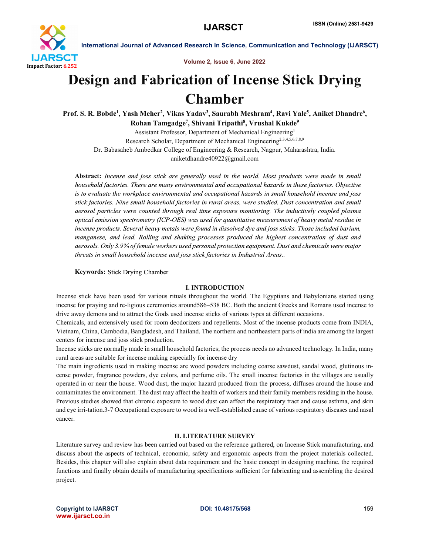

Volume 2, Issue 6, June 2022

# Design and Fabrication of Incense Stick Drying Chamber

Prof. S. R. Bobde<sup>1</sup>, Yash Meher<sup>2</sup>, Vikas Yadav<sup>3</sup>, Saurabh Meshram<sup>4</sup>, Ravi Yale<sup>5</sup>, Aniket Dhandre<sup>6</sup>, Rohan Tamgadge<sup>7</sup>, Shivani Tripathi<sup>8</sup>, Vrushal Kukde<sup>9</sup>

Assistant Professor, Department of Mechanical Engineering1 Research Scholar, Department of Mechanical Engineering<sup>2,3,4,5,6,7,8,9</sup> Dr. Babasaheb Ambedkar College of Engineering & Research, Nagpur, Maharashtra, India. aniketdhandre40922@gmail.com

Abstract: Incense and joss stick are generally used in the world. Most products were made in small household factories. There are many environmental and occupational hazards in these factories. Objective is to evaluate the workplace environmental and occupational hazards in small household incense and joss stick factories. Nine small household factories in rural areas, were studied. Dust concentration and small aerosol particles were counted through real time exposure monitoring. The inductively coupled plasma optical emission spectrometry (ICP-OES) was used for quantitative measurement of heavy metal residue in incense products. Several heavy metals were found in dissolved dye and joss sticks. Those included barium, manganese, and lead. Rolling and shaking processes produced the highest concentration of dust and aerosols. Only 3.9% of female workers used personal protection equipment. Dust and chemicals were major threats in small household incense and joss stick factories in Industrial Areas..

#### **Keywords: Stick Drying Chamber**

#### I. INTRODUCTION

Incense stick have been used for various rituals throughout the world. The Egyptians and Babylonians started using incense for praying and re-ligious ceremonies around586–538 BC. Both the ancient Greeks and Romans used incense to drive away demons and to attract the Gods used incense sticks of various types at different occasions.

Chemicals, and extensively used for room deodorizers and repellents. Most of the incense products come from INDIA, Vietnam, China, Cambodia, Bangladesh, and Thailand. The northern and northeastern parts of india are among the largest centers for incense and joss stick production.

Incense sticks are normally made in small household factories; the process needs no advanced technology. In India, many rural areas are suitable for incense making especially for incense dry

The main ingredients used in making incense are wood powders including coarse sawdust, sandal wood, glutinous incense powder, fragrance powders, dye colors, and perfume oils. The small incense factories in the villages are usually operated in or near the house. Wood dust, the major hazard produced from the process, diffuses around the house and contaminates the environment. The dust may affect the health of workers and their family members residing in the house. Previous studies showed that chronic exposure to wood dust can affect the respiratory tract and cause asthma, and skin and eye irri-tation.3-7 Occupational exposure to wood is a well-established cause of various respiratory diseases and nasal cancer.

#### II. LITERATURE SURVEY

Literature survey and review has been carried out based on the reference gathered, on Incense Stick manufacturing, and discuss about the aspects of technical, economic, safety and ergonomic aspects from the project materials collected. Besides, this chapter will also explain about data requirement and the basic concept in designing machine, the required functions and finally obtain details of manufacturing specifications sufficient for fabricating and assembling the desired project.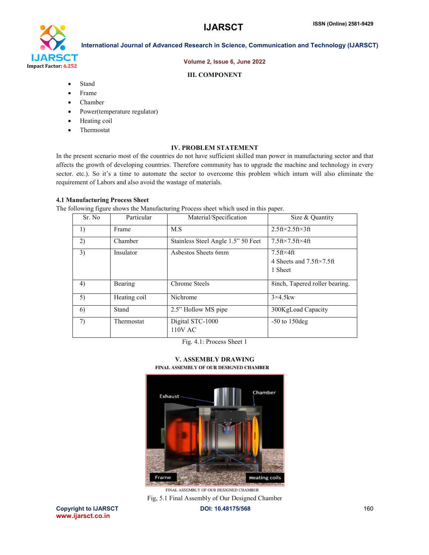

#### Volume 2, Issue 6, June 2022

#### III. COMPONENT

- Stand
- Frame
- Chamber
- Power(temperature regulator)
- Heating coil
- Thermostat

#### IV. PROBLEM STATEMENT

In the present scenario most of the countries do not have sufficient skilled man power in manufacturing sector and that affects the growth of developing countries. Therefore community has to upgrade the machine and technology in every sector. etc.). So it's a time to automate the sector to overcome this problem which inturn will also eliminate the requirement of Labors and also avoid the wastage of materials.

### 4.1 Manufacturing Process Sheet

The following figure shows the Manufacturing Process sheet which used in this paper.

| Sr. No | Particular   | Material/Specification             | Size & Quantity                                                 |
|--------|--------------|------------------------------------|-----------------------------------------------------------------|
| 1)     | Frame        | M.S                                | $2.5$ ft× $2.5$ ft× $3$ ft                                      |
| 2)     | Chamber      | Stainless Steel Angle 1.5" 50 Feet | $7.5$ ft× $7.5$ ft× $4$ ft                                      |
| 3)     | Insulator    | Asbestos Sheets 6mm                | $7.5$ ft×4ft<br>4 Sheets and $7.5$ ft $\times$ 7.5ft<br>1 Sheet |
| 4)     | Bearing      | Chrome Steels                      | 8inch, Tapered roller bearing.                                  |
| 5)     | Heating coil | Nichrome                           | $3\times4.5$ kw                                                 |
| 6      | Stand        | 2.5" Hollow MS pipe                | 300KgLoad Capacity                                              |
| 7)     | Thermostat   | Digital STC-1000<br>110V AC        | $-50$ to 150 deg                                                |

Fig. 4.1: Process Sheet 1

V. ASSEMBLY DRAWING<br>FINAL ASSEMBLY OF OUR DESIGNED CHAMBER



FINAL ASSEMBLY OF OUR DESIGNED CHAMBER Fig, 5.1 Final Assembly of Our Designed ChamberCopyright to IJARSCT **DOI: 10.48175/568** 160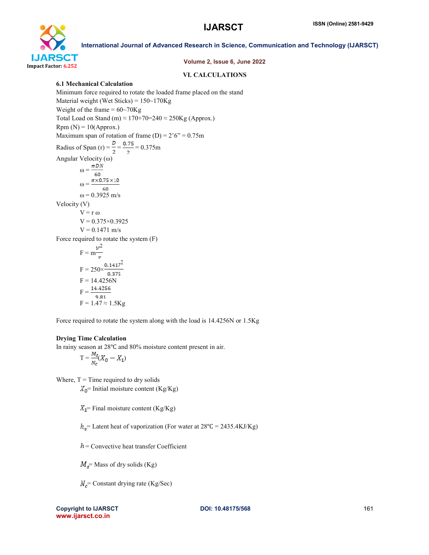

#### Volume 2, Issue 6, June 2022

#### VI. CALCULATIONS

#### 6.1 Mechanical Calculation

Minimum force required to rotate the loaded frame placed on the stand Material weight (Wet Sticks) = 150~170Kg Weight of the frame  $= 60 - 70$ Kg Total Load on Stand (m)  $\approx 170+70=240 \approx 250$ Kg (Approx.)  $Rpm (N) = 10(Approx.)$ Maximum span of rotation of frame  $(D) = 2'6'' = 0.75m$ Radius of Span (r) =  $\frac{D}{2}$  =  $\frac{0.75}{2}$  = 0.375m Angular Velocity (ω)  $\omega = \frac{\pi DN}{\pi DN}$ ω =  $\frac{60}{\frac{\pi \times 0.75 \times 10}{60}}$  $ω = 0.3925$  m/s Velocity (V)  $V = r \omega$  $V = 0.375 \times 0.3925$  $V = 0.1471$  m/s Force required to rotate the system (F)  $F = m \frac{v^2}{r}$  $F = 250 \times \frac{0.1417^2}{0.375}$  $F = 14.4256N$  $F = \frac{14.4256}{9.81}$  $F = 1.47 \approx 1.5Kg$ 

Force required to rotate the system along with the load is 14.4256N or 1.5Kg

#### Drying Time Calculation

In rainy season at 28℃ and 80% moisture content present in air.

$$
T = \frac{M_s}{N_c}(X_0 - X_1)
$$

Where,  $T =$  Time required to dry solids

 $X_0$ = Initial moisture content (Kg/Kg)

 $X_1$ = Final moisture content (Kg/Kg)

 $h_y$  Latent heat of vaporization (For water at 28°C = 2435.4KJ/Kg)

 $h$  = Convective heat transfer Coefficient

 $M<sub>s</sub>$  = Mass of dry solids (Kg)

 $N_c$  = Constant drying rate (Kg/Sec)

Copyright to IJARSCT **DOI: 10.48175/568** 161 www.ijarsct.co.in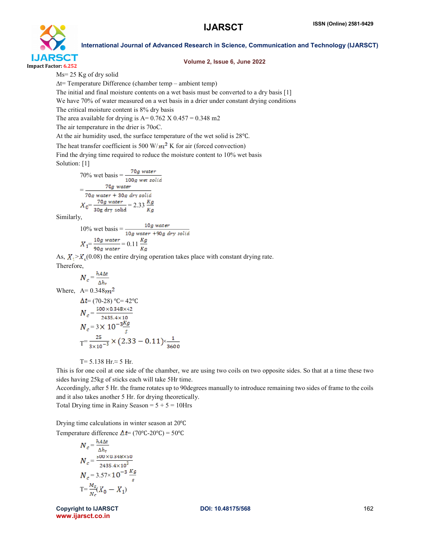

#### Volume 2, Issue 6, June 2022

International Journal of Advanced Research in Science, Communication and Technology (IJARSCT)

Ms= 25 Kg of dry solid

∆t= Temperature Difference (chamber temp – ambient temp)

The initial and final moisture contents on a wet basis must be converted to a dry basis [1]

We have 70% of water measured on a wet basis in a drier under constant drying conditions

The critical moisture content is 8% dry basis

The area available for drying is  $A = 0.762$  X  $0.457 = 0.348$  m2

The air temperature in the drier is 70oC.

At the air humidity used, the surface temperature of the wet solid is 28℃.

The heat transfer coefficient is 500 W/ $m^2$  K for air (forced convection)

Find the drying time required to reduce the moisture content to 10% wet basis Solution: [1]

70% wet basis = 
$$
\frac{70g \text{ water}}{100g \text{ wet solid}}
$$
  
= 
$$
\frac{70g \text{ water}}{70g \text{ water} + 30g \text{ dry solid}}
$$
  

$$
X_0 = \frac{70g \text{ water}}{30g \text{ dry solid}} = 2.33 \frac{kg}{Kg}
$$

Similarly,

10% wet basis = 
$$
\frac{10g \text{ water}}{10g \text{ water} + 90g \text{ dry solid}}
$$

$$
X_1 = \frac{10g \text{ water}}{90g \text{ water}} = 0.11 \frac{Kg}{Kg}
$$

As,  $X_1 > X_2(0.08)$  the entire drying operation takes place with constant drying rate. Therefore,

$$
N_c = \frac{h_{A\Delta t}}{h}
$$

Where,  $A= 0.348$  $m<sup>2</sup>$ 

$$
\Delta t = (70-28) °C = 42 °C
$$
\n
$$
N_c = \frac{500 \times 0.348 \times 42}{2435.4 \times 10}
$$
\n
$$
N_c = 3 \times 10^{-3} \frac{kg}{s}
$$
\n
$$
T = \frac{25}{3 \times 10^{-3}} \times (2.33 - 0.11) \times \frac{1}{3600}
$$

T= 5.138 Hr.≈ 5 Hr.

This is for one coil at one side of the chamber, we are using two coils on two opposite sides. So that at a time these two sides having 25kg of sticks each will take 5Hr time.

Accordingly, after 5 Hr. the frame rotates up to 90degrees manually to introduce remaining two sides of frame to the coils and it also takes another 5 Hr. for drying theoretically.

Total Drying time in Rainy Season =  $5 + 5 = 10$ Hrs

Drying time calculations in winter season at 20℃

Temperature difference  $\Delta t = (70^{\circ}C - 20^{\circ}C) = 50^{\circ}C$ 

$$
N_c = \frac{hA\Delta t}{\Delta h_v}
$$
  
\n
$$
N_c = \frac{500 \times 0.348 \times 50}{2435.4 \times 10^3}
$$
  
\n
$$
N_c = 3.57 \times 10^{-3} \frac{Kg}{s}
$$
  
\n
$$
T = \frac{M_s}{N_c}(X_0 - X_1)
$$

Copyright to IJARSCT **DOI: 10.48175/568** 162 www.ijarsct.co.in